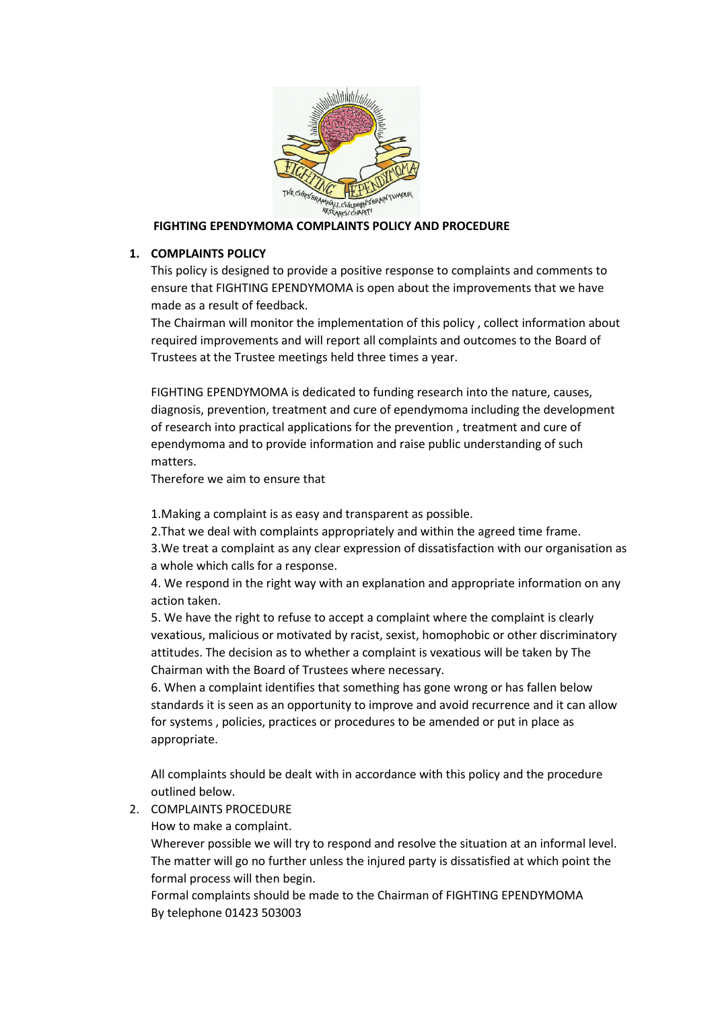

## **FIGHTING EPENDYMOMA COMPLAINTS POLICY AND PROCEDURE**

## **1. COMPLAINTS POLICY**

This policy is designed to provide a positive response to complaints and comments to ensure that FIGHTING EPENDYMOMA is open about the improvements that we have made as a result of feedback.

The Chairman will monitor the implementation of this policy , collect information about required improvements and will report all complaints and outcomes to the Board of Trustees at the Trustee meetings held three times a year.

FIGHTING EPENDYMOMA is dedicated to funding research into the nature, causes, diagnosis, prevention, treatment and cure of ependymoma including the development of research into practical applications for the prevention , treatment and cure of ependymoma and to provide information and raise public understanding of such matters.

Therefore we aim to ensure that

1.Making a complaint is as easy and transparent as possible.

2.That we deal with complaints appropriately and within the agreed time frame. 3.We treat a complaint as any clear expression of dissatisfaction with our organisation as a whole which calls for a response.

4. We respond in the right way with an explanation and appropriate information on any action taken.

5. We have the right to refuse to accept a complaint where the complaint is clearly vexatious, malicious or motivated by racist, sexist, homophobic or other discriminatory attitudes. The decision as to whether a complaint is vexatious will be taken by The Chairman with the Board of Trustees where necessary.

6. When a complaint identifies that something has gone wrong or has fallen below standards it is seen as an opportunity to improve and avoid recurrence and it can allow for systems , policies, practices or procedures to be amended or put in place as appropriate.

All complaints should be dealt with in accordance with this policy and the procedure outlined below.

2. COMPLAINTS PROCEDURE

How to make a complaint.

Wherever possible we will try to respond and resolve the situation at an informal level. The matter will go no further unless the injured party is dissatisfied at which point the formal process will then begin.

Formal complaints should be made to the Chairman of FIGHTING EPENDYMOMA By telephone 01423 503003